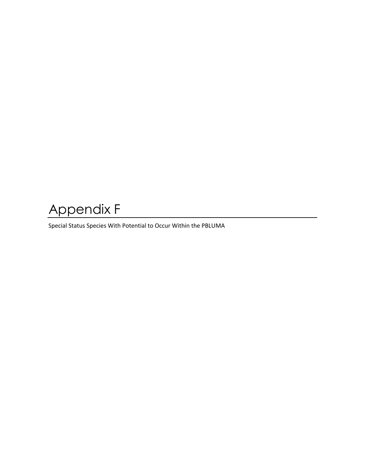## Appendix F

Special Status Species With Potential to Occur Within the PBLUMA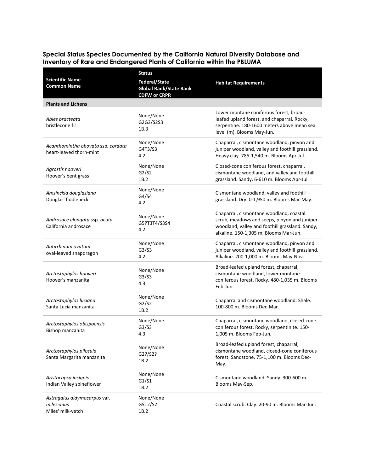## **Special Status Species Documented by the California Natural Diversity Database and Inventory of Rare and Endangered Plants of California within the PBLUMA**

|                                                                 | <b>Status</b>                                                         |                                                                                                                                                                                      |
|-----------------------------------------------------------------|-----------------------------------------------------------------------|--------------------------------------------------------------------------------------------------------------------------------------------------------------------------------------|
| <b>Scientific Name</b><br><b>Common Name</b>                    | Federal/State<br><b>Global Rank/State Rank</b><br><b>CDFW or CRPR</b> | <b>Habitat Requirements</b>                                                                                                                                                          |
| <b>Plants and Lichens</b>                                       |                                                                       |                                                                                                                                                                                      |
| Abies bracteata<br>bristlecone fir                              | None/None<br>G2G3/S2S3<br>1B.3                                        | Lower montane coniferous forest, broad-<br>leafed upland forest, and chaparral. Rocky,<br>serpentine. 180-1600 meters above mean sea<br>level (m). Blooms May-Jun.                   |
| Acanthomintha obovata ssp. cordata<br>heart-leaved thorn-mint   | None/None<br>G4T3/S3<br>4.2                                           | Chaparral, cismontane woodland, pinyon and<br>juniper woodland, valley and foothill grassland.<br>Heavy clay. 785-1,540 m. Blooms Apr-Jul.                                           |
| Agrostis hooveri<br>Hoover's bent grass                         | None/None<br>G2/S2<br>1B.2                                            | Closed-cone coniferous forest, chaparral,<br>cismontane woodland, and valley and foothill<br>grassland. Sandy. 6-610 m. Blooms Apr-Jul.                                              |
| Amsinckia douglasiana<br>Douglas' fiddleneck                    | None/None<br>G4/S4<br>4.2                                             | Cismontane woodland, valley and foothill<br>grassland. Dry. 0-1,950 m. Blooms Mar-May.                                                                                               |
| Androsace elongata ssp. acuta<br>California androsace           | None/None<br>G5?T3T4/S3S4<br>4.2                                      | Chaparral, cismontane woodland, coastal<br>scrub, meadows and seeps, pinyon and juniper<br>woodland, valley and foothill grassland. Sandy,<br>alkaline. 150-1,305 m. Blooms Mar-Jun. |
| Antirrhinum ovatum<br>oval-leaved snapdragon                    | None/None<br>G3/S3<br>4.2                                             | Chaparral, cismontane woodland, pinyon and<br>juniper woodland, valley and foothill grassland.<br>Alkaline. 200-1,000 m. Blooms May-Nov.                                             |
| Arctostaphylos hooveri<br>Hoover's manzanita                    | None/None<br>G3/S3<br>4.3                                             | Broad-leafed upland forest, chaparral,<br>cismontane woodland, lower montane<br>coniferous forest. Rocky. 480-1,035 m. Blooms<br>Feb-Jun.                                            |
| Arctostaphylos luciana<br>Santa Lucia manzanita                 | None/None<br>G2/S2<br>1B.2                                            | Chaparral and cismontane woodland. Shale.<br>100-800 m. Blooms Dec-Mar.                                                                                                              |
| Arctostaphylos obispoensis<br>Bishop manzanita                  | None/None<br>G3/S3<br>4.3                                             | Chaparral, cismontane woodland, closed-cone<br>coniferous forest. Rocky, serpentinite. 150-<br>1,005 m. Blooms Feb-Jun.                                                              |
| Arctostaphylos pilosula<br>Santa Margarita manzanita            | None/None<br>G2?/S2?<br>1B.2                                          | Broad-leafed upland forest, chaparral,<br>cismontane woodland, closed-cone coniferous<br>forest. Sandstone. 75-1,100 m. Blooms Dec-<br>May.                                          |
| Aristocapsa insignis<br>Indian Valley spineflower               | None/None<br>G1/S1<br>1B.2                                            | Cismontane woodland. Sandy. 300-600 m.<br>Blooms May-Sep.                                                                                                                            |
| Astragalus didymocarpus var.<br>milesianus<br>Miles' milk-vetch | None/None<br>G5T2/S2<br>1B.2                                          | Coastal scrub. Clay. 20-90 m. Blooms Mar-Jun.                                                                                                                                        |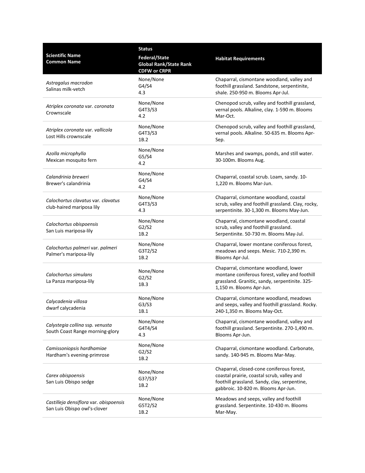|                                                                        | <b>Status</b>                                                                |                                                                                                                                                                                |
|------------------------------------------------------------------------|------------------------------------------------------------------------------|--------------------------------------------------------------------------------------------------------------------------------------------------------------------------------|
| <b>Scientific Name</b><br><b>Common Name</b>                           | <b>Federal/State</b><br><b>Global Rank/State Rank</b><br><b>CDFW or CRPR</b> | <b>Habitat Requirements</b>                                                                                                                                                    |
| Astragalus macrodon<br>Salinas milk-vetch                              | None/None<br>G4/S4<br>4.3                                                    | Chaparral, cismontane woodland, valley and<br>foothill grassland. Sandstone, serpentinite,<br>shale. 250-950 m. Blooms Apr-Jul.                                                |
| Atriplex coronata var. coronata<br>Crownscale                          | None/None<br>G4T3/S3<br>4.2                                                  | Chenopod scrub, valley and foothill grassland,<br>vernal pools. Alkaline, clay. 1-590 m. Blooms<br>Mar-Oct.                                                                    |
| Atriplex coronata var. vallicola<br>Lost Hills crownscale              | None/None<br>G4T3/S3<br>1B.2                                                 | Chenopod scrub, valley and foothill grassland,<br>vernal pools. Alkaline. 50-635 m. Blooms Apr-<br>Sep.                                                                        |
| Azolla microphylla<br>Mexican mosquito fern                            | None/None<br>G5/S4<br>4.2                                                    | Marshes and swamps, ponds, and still water.<br>30-100m. Blooms Aug.                                                                                                            |
| Calandrinia breweri<br>Brewer's calandrinia                            | None/None<br>G4/S4<br>4.2                                                    | Chaparral, coastal scrub. Loam, sandy. 10-<br>1,220 m. Blooms Mar-Jun.                                                                                                         |
| Calochortus clavatus var. clavatus<br>club-haired mariposa lily        | None/None<br>G4T3/S3<br>4.3                                                  | Chaparral, cismontane woodland, coastal<br>scrub, valley and foothill grassland. Clay, rocky,<br>serpentinite. 30-1,300 m. Blooms May-Jun.                                     |
| Calochortus obispoensis<br>San Luis mariposa-lily                      | None/None<br>G2/S2<br>1B.2                                                   | Chaparral, cismontane woodland, coastal<br>scrub, valley and foothill grassland.<br>Serpentinite. 50-730 m. Blooms May-Jul.                                                    |
| Calochortus palmeri var. palmeri<br>Palmer's mariposa-lily             | None/None<br>G3T2/S2<br>1B.2                                                 | Chaparral, lower montane coniferous forest,<br>meadows and seeps. Mesic. 710-2,390 m.<br>Blooms Apr-Jul.                                                                       |
| Calochortus simulans<br>La Panza mariposa-lily                         | None/None<br>G2/S2<br>1B.3                                                   | Chaparral, cismontane woodland, lower<br>montane coniferous forest, valley and foothill<br>grassland. Granitic, sandy, serpentinite. 325-<br>1,150 m. Blooms Apr-Jun.          |
| Calycadenia villosa<br>dwarf calycadenia                               | None/None<br>G3/S3<br>1B.1                                                   | Chaparral, cismontane woodland, meadows<br>and seeps, valley and foothill grassland. Rocky.<br>240-1,350 m. Blooms May-Oct.                                                    |
| Calystegia collina ssp. venusta<br>South Coast Range morning-glory     | None/None<br>G4T4/S4<br>4.3                                                  | Chaparral, cismontane woodland, valley and<br>foothill grassland. Serpentinite. 270-1,490 m.<br>Blooms Apr-Jun.                                                                |
| Camissoniopsis hardhamiae<br>Hardham's evening-primrose                | None/None<br>G2/S2<br>1B.2                                                   | Chaparral, cismontane woodland. Carbonate,<br>sandy. 140-945 m. Blooms Mar-May.                                                                                                |
| Carex obispoensis<br>San Luis Obispo sedge                             | None/None<br>G3?/S3?<br>1B.2                                                 | Chaparral, closed-cone coniferous forest,<br>coastal prairie, coastal scrub, valley and<br>foothill grassland. Sandy, clay, serpentine,<br>gabbroic. 10-820 m. Blooms Apr-Jun. |
| Castilleja densiflora var. obispoensis<br>San Luis Obispo owl's-clover | None/None<br>G5T2/S2<br>1B.2                                                 | Meadows and seeps, valley and foothill<br>grassland. Serpentinite. 10-430 m. Blooms<br>Mar-May.                                                                                |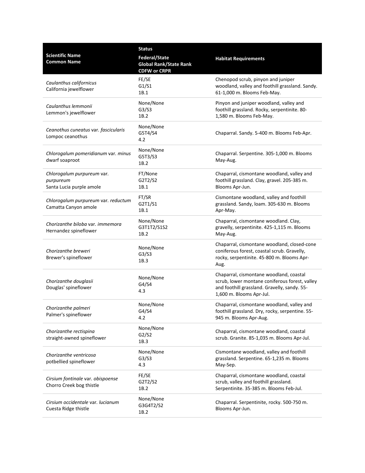|                                                                     | <b>Status</b>                                                         |                                                                                                                                                                       |
|---------------------------------------------------------------------|-----------------------------------------------------------------------|-----------------------------------------------------------------------------------------------------------------------------------------------------------------------|
| <b>Scientific Name</b><br><b>Common Name</b>                        | Federal/State<br><b>Global Rank/State Rank</b><br><b>CDFW or CRPR</b> | <b>Habitat Requirements</b>                                                                                                                                           |
| Caulanthus californicus<br>California jewelflower                   | FE/SE<br>G1/S1<br>1B.1                                                | Chenopod scrub, pinyon and juniper<br>woodland, valley and foothill grassland. Sandy.<br>61-1,000 m. Blooms Feb-May.                                                  |
| Caulanthus lemmonii<br>Lemmon's jewelflower                         | None/None<br>G3/S3<br>1B.2                                            | Pinyon and juniper woodland, valley and<br>foothill grassland. Rocky, serpentinite. 80-<br>1,580 m. Blooms Feb-May.                                                   |
| Ceanothus cuneatus var. fascicularis<br>Lompoc ceanothus            | None/None<br>G5T4/S4<br>4.2                                           | Chaparral. Sandy. 5-400 m. Blooms Feb-Apr.                                                                                                                            |
| Chlorogalum pomeridianum var. minus<br>dwarf soaproot               | None/None<br>G5T3/S3<br>1B.2                                          | Chaparral. Serpentine. 305-1,000 m. Blooms<br>May-Aug.                                                                                                                |
| Chlorogalum purpureum var.<br>purpureum<br>Santa Lucia purple amole | FT/None<br>G2T2/S2<br>1B.1                                            | Chaparral, cismontane woodland, valley and<br>foothill grassland. Clay, gravel. 205-385 m.<br>Blooms Apr-Jun.                                                         |
| Chlorogalum purpureum var. reductum<br>Camatta Canyon amole         | FT/SR<br>G2T1/S1<br>1B.1                                              | Cismontane woodland, valley and foothill<br>grassland. Sandy, loam. 305-630 m. Blooms<br>Apr-May.                                                                     |
| Chorizanthe biloba var. immemora<br>Hernandez spineflower           | None/None<br>G3T1T2/S1S2<br>1B.2                                      | Chaparral, cismontane woodland. Clay,<br>gravelly, serpentinite. 425-1,115 m. Blooms<br>May-Aug.                                                                      |
| Chorizanthe breweri<br>Brewer's spineflower                         | None/None<br>G3/S3<br>1B.3                                            | Chaparral, cismontane woodland, closed-cone<br>coniferous forest, coastal scrub. Gravelly,<br>rocky, serpentinite. 45-800 m. Blooms Apr-<br>Aug.                      |
| Chorizanthe douglasii<br>Douglas' spineflower                       | None/None<br>G4/S4<br>4.3                                             | Chaparral, cismontane woodland, coastal<br>scrub, lower montane coniferous forest, valley<br>and foothill grassland. Gravelly, sandy. 55-<br>1,600 m. Blooms Apr-Jul. |
| Chorizanthe palmeri<br>Palmer's spineflower                         | None/None<br>G4/S4<br>4.2                                             | Chaparral, cismontane woodland, valley and<br>foothill grassland. Dry, rocky, serpentine. 55-<br>945 m. Blooms Apr-Aug.                                               |
| Chorizanthe rectispina<br>straight-awned spineflower                | None/None<br>G2/S2<br>1B.3                                            | Chaparral, cismontane woodland, coastal<br>scrub. Granite. 85-1,035 m. Blooms Apr-Jul.                                                                                |
| Chorizanthe ventricosa<br>potbellied spineflower                    | None/None<br>G3/S3<br>4.3                                             | Cismontane woodland, valley and foothill<br>grassland. Serpentine. 65-1,235 m. Blooms<br>May-Sep.                                                                     |
| Cirsium fontinale var. obispoense<br>Chorro Creek bog thistle       | FE/SE<br>G2T2/S2<br>1B.2                                              | Chaparral, cismontane woodland, coastal<br>scrub, valley and foothill grassland.<br>Serpentinite. 35-385 m. Blooms Feb-Jul.                                           |
| Cirsium occidentale var. lucianum<br>Cuesta Ridge thistle           | None/None<br>G3G4T2/S2<br>1B.2                                        | Chaparral. Serpentinite, rocky. 500-750 m.<br>Blooms Apr-Jun.                                                                                                         |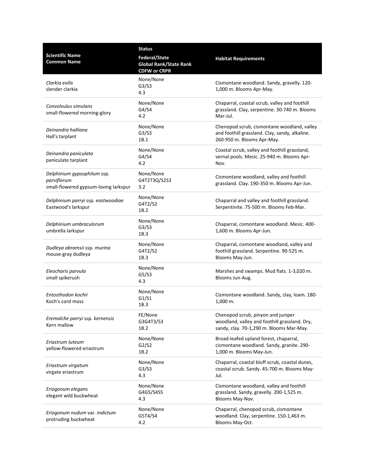|                                                                                     | <b>Status</b>                                                         |                                                                                                                                 |
|-------------------------------------------------------------------------------------|-----------------------------------------------------------------------|---------------------------------------------------------------------------------------------------------------------------------|
| <b>Scientific Name</b><br><b>Common Name</b>                                        | Federal/State<br><b>Global Rank/State Rank</b><br><b>CDFW or CRPR</b> | <b>Habitat Requirements</b>                                                                                                     |
| Clarkia exilis<br>slender clarkia                                                   | None/None<br>G3/S3<br>4.3                                             | Cismontane woodland. Sandy, gravelly. 120-<br>1,000 m. Blooms Apr-May.                                                          |
| Convolvulus simulans<br>small-flowered morning-glory                                | None/None<br>G4/S4<br>4.2                                             | Chaparral, coastal scrub, valley and foothill<br>grassland. Clay, serpentine. 30-740 m. Blooms<br>Mar-Jul.                      |
| Deinandra halliana<br>Hall's tarplant                                               | None/None<br>G3/S3<br>1B.1                                            | Chenopod scrub, cismontane woodland, valley<br>and foothill grassland. Clay, sandy, alkaline.<br>260-950 m. Blooms Apr-May.     |
| Deinandra paniculata<br>paniculate tarplant                                         | None/None<br>G4/S4<br>4.2                                             | Coastal scrub, valley and foothill grassland,<br>vernal pools. Mesic. 25-940 m. Blooms Apr-<br>Nov.                             |
| Delphinium gypsophilum ssp.<br>parviflorum<br>small-flowered gypsum-loving larkspur | None/None<br>G4T2T3Q/S2S3<br>3.2                                      | Cismontane woodland, valley and foothill<br>grassland. Clay. 190-350 m. Blooms Apr-Jun.                                         |
| Delphinium parryi ssp. eastwoodiae<br>Eastwood's larkspur                           | None/None<br>G4T2/S2<br>1B.2                                          | Chaparral and valley and foothill grassland.<br>Serpentinite. 75-500 m. Blooms Feb-Mar.                                         |
| Delphinium umbraculorum<br>umbrella larkspur                                        | None/None<br>G3/S3<br>1B.3                                            | Chaparral, cismontane woodland. Mesic. 400-<br>1,600 m. Blooms Apr-Jun.                                                         |
| Dudleya abramsii ssp. murina<br>mouse-gray dudleya                                  | None/None<br>G4T2/S2<br>1B.3                                          | Chaparral, cismontane woodland, valley and<br>foothill grassland. Serpentine. 90-525 m.<br>Blooms May-Jun.                      |
| Eleocharis parvula<br>small spikerush                                               | None/None<br>G5/S3<br>4.3                                             | Marshes and swamps. Mud flats. 1-3,020 m.<br>Blooms Jun-Aug.                                                                    |
| Entosthodon kochii<br>Koch's cord moss                                              | None/None<br>G1/S1<br>1B.3                                            | Cismontane woodland. Sandy, clay, loam. 180-<br>1,000 m.                                                                        |
| Eremalche parryi ssp. kernensis<br>Kern mallow                                      | FE/None<br>G3G4T3/S3<br>1B.2                                          | Chenopod scrub, pinyon and juniper<br>woodland, valley and foothill grassland. Dry,<br>sandy, clay. 70-1,290 m. Blooms Mar-May. |
| Eriastrum luteum<br>yellow-flowered eriastrum                                       | None/None<br>G2/S2<br>1B.2                                            | Broad-leafed upland forest, chaparral,<br>cismontane woodland. Sandy, granite. 290-<br>1,000 m. Blooms May-Jun.                 |
| Eriastrum virgatum<br>virgate eriastrum                                             | None/None<br>G3/S3<br>4.3                                             | Chaparral, coastal bluff scrub, coastal dunes,<br>coastal scrub. Sandy. 45-700 m. Blooms May-<br>Jul.                           |
| Eriogonum elegans<br>elegant wild buckwheat                                         | None/None<br>G4G5/S4S5<br>4.3                                         | Cismontane woodland, valley and foothill<br>grassland. Sandy, gravelly. 200-1,525 m.<br>Blooms May-Nov.                         |
| Eriogonum nudum var. indictum<br>protruding buckwheat                               | None/None<br>G5T4/S4<br>4.2                                           | Chaparral, chenopod scrub, cismontane<br>woodland. Clay, serpentine. 150-1,463 m.<br>Blooms May-Oct.                            |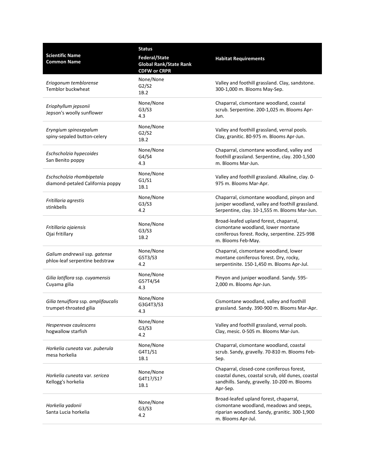|                                                                 | <b>Status</b>                                                                |                                                                                                                                                           |
|-----------------------------------------------------------------|------------------------------------------------------------------------------|-----------------------------------------------------------------------------------------------------------------------------------------------------------|
| <b>Scientific Name</b><br><b>Common Name</b>                    | <b>Federal/State</b><br><b>Global Rank/State Rank</b><br><b>CDFW or CRPR</b> | <b>Habitat Requirements</b>                                                                                                                               |
| Eriogonum temblorense<br>Temblor buckwheat                      | None/None<br>G2/S2<br>1B.2                                                   | Valley and foothill grassland. Clay, sandstone.<br>300-1,000 m. Blooms May-Sep.                                                                           |
| Eriophyllum jepsonii<br>Jepson's woolly sunflower               | None/None<br>G3/S3<br>4.3                                                    | Chaparral, cismontane woodland, coastal<br>scrub. Serpentine. 200-1,025 m. Blooms Apr-<br>Jun.                                                            |
| Eryngium spinosepalum<br>spiny-sepaled button-celery            | None/None<br>G2/S2<br>1B.2                                                   | Valley and foothill grassland, vernal pools.<br>Clay, granitic. 80-975 m. Blooms Apr-Jun.                                                                 |
| Eschscholzia hypecoides<br>San Benito poppy                     | None/None<br>G4/S4<br>4.3                                                    | Chaparral, cismontane woodland, valley and<br>foothill grassland. Serpentine, clay. 200-1,500<br>m. Blooms Mar-Jun.                                       |
| Eschscholzia rhombipetala<br>diamond-petaled California poppy   | None/None<br>G1/S1<br>1B.1                                                   | Valley and foothill grassland. Alkaline, clay. 0-<br>975 m. Blooms Mar-Apr.                                                                               |
| Fritillaria agrestis<br>stinkbells                              | None/None<br>G3/S3<br>4.2                                                    | Chaparral, cismontane woodland, pinyon and<br>juniper woodland, valley and foothill grassland.<br>Serpentine, clay. 10-1,555 m. Blooms Mar-Jun.           |
| Fritillaria ojaiensis<br>Ojai fritillary                        | None/None<br>G3/S3<br>1B.2                                                   | Broad-leafed upland forest, chaparral,<br>cismontane woodland, lower montane<br>coniferous forest. Rocky, serpentine. 225-998<br>m. Blooms Feb-May.       |
| Galium andrewsii ssp. gatense<br>phlox-leaf serpentine bedstraw | None/None<br>G5T3/S3<br>4.2                                                  | Chaparral, cismontane woodland, lower<br>montane coniferous forest. Dry, rocky,<br>serpentinite. 150-1,450 m. Blooms Apr-Jul.                             |
| Gilia latiflora ssp. cuyamensis<br>Cuyama gilia                 | None/None<br>G5?T4/S4<br>4.3                                                 | Pinyon and juniper woodland. Sandy. 595-<br>2,000 m. Blooms Apr-Jun.                                                                                      |
| Gilia tenuiflora ssp. amplifaucalis<br>trumpet-throated gilia   | None/None<br>G3G4T3/S3<br>4.3                                                | Cismontane woodland, valley and foothill<br>grassland. Sandy. 390-900 m. Blooms Mar-Apr.                                                                  |
| Hesperevax caulescens<br>hogwallow starfish                     | None/None<br>G3/S3<br>4.2                                                    | Valley and foothill grassland, vernal pools.<br>Clay, mesic. 0-505 m. Blooms Mar-Jun.                                                                     |
| Horkelia cuneata var. puberula<br>mesa horkelia                 | None/None<br>G4T1/S1<br>1B.1                                                 | Chaparral, cismontane woodland, coastal<br>scrub. Sandy, gravelly. 70-810 m. Blooms Feb-<br>Sep.                                                          |
| Horkelia cuneata var. sericea<br>Kellogg's horkelia             | None/None<br>G4T1?/S1?<br>1B.1                                               | Chaparral, closed-cone coniferous forest,<br>coastal dunes, coastal scrub, old dunes, coastal<br>sandhills. Sandy, gravelly. 10-200 m. Blooms<br>Apr-Sep. |
| Horkelia yadonii<br>Santa Lucia horkelia                        | None/None<br>G3/S3<br>4.2                                                    | Broad-leafed upland forest, chaparral,<br>cismontane woodland, meadows and seeps,<br>riparian woodland. Sandy, granitic. 300-1,900<br>m. Blooms Apr-Jul.  |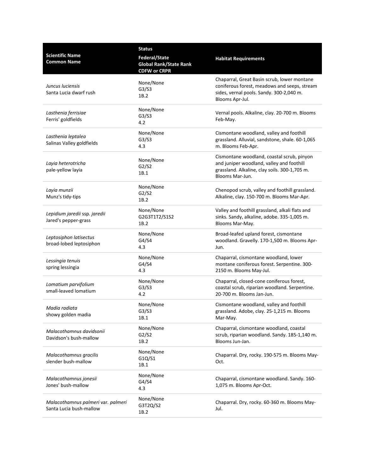|                                                               | <b>Status</b>                                                                |                                                                                                                                                             |
|---------------------------------------------------------------|------------------------------------------------------------------------------|-------------------------------------------------------------------------------------------------------------------------------------------------------------|
| <b>Scientific Name</b><br><b>Common Name</b>                  | <b>Federal/State</b><br><b>Global Rank/State Rank</b><br><b>CDFW or CRPR</b> | <b>Habitat Requirements</b>                                                                                                                                 |
| Juncus luciensis<br>Santa Lucia dwarf rush                    | None/None<br>G3/S3<br>1B.2                                                   | Chaparral, Great Basin scrub, lower montane<br>coniferous forest, meadows and seeps, stream<br>sides, vernal pools. Sandy. 300-2,040 m.<br>Blooms Apr-Jul.  |
| Lasthenia ferrisiae<br>Ferris' goldfields                     | None/None<br>G3/S3<br>4.2                                                    | Vernal pools. Alkaline, clay. 20-700 m. Blooms<br>Feb-May.                                                                                                  |
| Lasthenia leptalea<br>Salinas Valley goldfields               | None/None<br>G3/S3<br>4.3                                                    | Cismontane woodland, valley and foothill<br>grassland. Alluvial, sandstone, shale. 60-1,065<br>m. Blooms Feb-Apr.                                           |
| Layia heterotricha<br>pale-yellow layia                       | None/None<br>G2/S2<br>1B.1                                                   | Cismontane woodland, coastal scrub, pinyon<br>and juniper woodland, valley and foothill<br>grassland. Alkaline, clay soils. 300-1,705 m.<br>Blooms Mar-Jun. |
| Layia munzii<br>Munz's tidy-tips                              | None/None<br>G2/S2<br>1B.2                                                   | Chenopod scrub, valley and foothill grassland.<br>Alkaline, clay. 150-700 m. Blooms Mar-Apr.                                                                |
| Lepidium jaredii ssp. jaredii<br>Jared's pepper-grass         | None/None<br>G2G3T1T2/S1S2<br>1B.2                                           | Valley and foothill grassland, alkali flats and<br>sinks. Sandy, alkaline, adobe. 335-1,005 m.<br>Blooms Mar-May.                                           |
| Leptosiphon latisectus<br>broad-lobed leptosiphon             | None/None<br>G4/S4<br>4.3                                                    | Broad-leafed upland forest, cismontane<br>woodland. Gravelly. 170-1,500 m. Blooms Apr-<br>Jun.                                                              |
| Lessingia tenuis<br>spring lessingia                          | None/None<br>G4/S4<br>4.3                                                    | Chaparral, cismontane woodland, lower<br>montane coniferous forest. Serpentine. 300-<br>2150 m. Blooms May-Jul.                                             |
| Lomatium parvifolium<br>small-leaved lomatium                 | None/None<br>G3/S3<br>4.2                                                    | Chaparral, closed-cone coniferous forest,<br>coastal scrub, riparian woodland. Serpentine.<br>20-700 m. Blooms Jan-Jun.                                     |
| Madia radiata<br>showy golden madia                           | None/None<br>G3/S3<br>1B.1                                                   | Cismontane woodland, valley and foothill<br>grassland. Adobe, clay. 25-1,215 m. Blooms<br>Mar-May.                                                          |
| Malacothamnus davidsonii<br>Davidson's bush-mallow            | None/None<br>G2/S2<br>1B.2                                                   | Chaparral, cismontane woodland, coastal<br>scrub, riparian woodland. Sandy. 185-1,140 m.<br>Blooms Jun-Jan.                                                 |
| Malacothamnus gracilis<br>slender bush-mallow                 | None/None<br>G1Q/S1<br>1B.1                                                  | Chaparral. Dry, rocky. 190-575 m. Blooms May-<br>Oct.                                                                                                       |
| Malacothamnus jonesii<br>Jones' bush-mallow                   | None/None<br>G4/S4<br>4.3                                                    | Chaparral, cismontane woodland. Sandy. 160-<br>1,075 m. Blooms Apr-Oct.                                                                                     |
| Malacothamnus palmeri var. palmeri<br>Santa Lucia bush-mallow | None/None<br>G3T2Q/S2<br>1B.2                                                | Chaparral. Dry, rocky. 60-360 m. Blooms May-<br>Jul.                                                                                                        |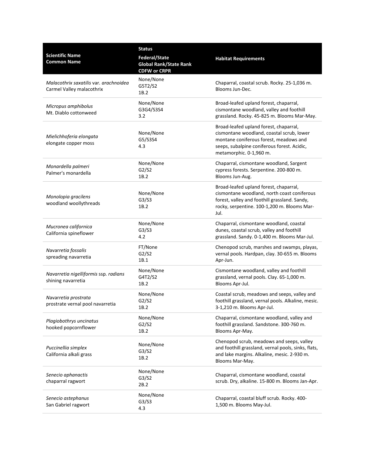|                                                                     | <b>Status</b>                                                         |                                                                                                                                                                                                         |
|---------------------------------------------------------------------|-----------------------------------------------------------------------|---------------------------------------------------------------------------------------------------------------------------------------------------------------------------------------------------------|
| <b>Scientific Name</b><br><b>Common Name</b>                        | Federal/State<br><b>Global Rank/State Rank</b><br><b>CDFW or CRPR</b> | <b>Habitat Requirements</b>                                                                                                                                                                             |
| Malacothrix saxatilis var. arachnoidea<br>Carmel Valley malacothrix | None/None<br>G5T2/S2<br>1B.2                                          | Chaparral, coastal scrub. Rocky. 25-1,036 m.<br>Blooms Jun-Dec.                                                                                                                                         |
| Micropus amphibolus<br>Mt. Diablo cottonweed                        | None/None<br>G3G4/S3S4<br>3.2                                         | Broad-leafed upland forest, chaparral,<br>cismontane woodland, valley and foothill<br>grassland. Rocky. 45-825 m. Blooms Mar-May.                                                                       |
| Mielichhoferia elongata<br>elongate copper moss                     | None/None<br>G5/S3S4<br>4.3                                           | Broad-leafed upland forest, chaparral,<br>cismontane woodland, coastal scrub, lower<br>montane coniferous forest, meadows and<br>seeps, subalpine coniferous forest. Acidic,<br>metamorphic. 0-1,960 m. |
| Monardella palmeri<br>Palmer's monardella                           | None/None<br>G2/S2<br>1B.2                                            | Chaparral, cismontane woodland, Sargent<br>cypress forests. Serpentine. 200-800 m.<br>Blooms Jun-Aug.                                                                                                   |
| Monolopia gracilens<br>woodland woollythreads                       | None/None<br>G3/S3<br>1B.2                                            | Broad-leafed upland forest, chaparral,<br>cismontane woodland, north coast coniferous<br>forest, valley and foothill grassland. Sandy,<br>rocky, serpentine. 100-1,200 m. Blooms Mar-<br>Jul.           |
| Mucronea californica<br>California spineflower                      | None/None<br>G3/S3<br>4.2                                             | Chaparral, cismontane woodland, coastal<br>dunes, coastal scrub, valley and foothill<br>grassland. Sandy. 0-1,400 m. Blooms Mar-Jul.                                                                    |
| Navarretia fossalis<br>spreading navarretia                         | FT/None<br>G2/S2<br>1B.1                                              | Chenopod scrub, marshes and swamps, playas,<br>vernal pools. Hardpan, clay. 30-655 m. Blooms<br>Apr-Jun.                                                                                                |
| Navarretia nigelliformis ssp. radians<br>shining navarretia         | None/None<br>G4T2/S2<br>1B.2                                          | Cismontane woodland, valley and foothill<br>grassland, vernal pools. Clay. 65-1,000 m.<br>Blooms Apr-Jul.                                                                                               |
| Navarretia prostrata<br>prostrate vernal pool navarretia            | None/None<br>G2/S2<br>1B.2                                            | Coastal scrub, meadows and seeps, valley and<br>foothill grassland, vernal pools. Alkaline, mesic.<br>3-1,210 m. Blooms Apr-Jul.                                                                        |
| Plagiobothrys uncinatus<br>hooked popcornflower                     | None/None<br>G2/S2<br>1B.2                                            | Chaparral, cismontane woodland, valley and<br>foothill grassland. Sandstone. 300-760 m.<br>Blooms Apr-May.                                                                                              |
| Puccinellia simplex<br>California alkali grass                      | None/None<br>G3/S2<br>1B.2                                            | Chenopod scrub, meadows and seeps, valley<br>and foothill grassland, vernal pools, sinks, flats,<br>and lake margins. Alkaline, mesic. 2-930 m.<br>Blooms Mar-May.                                      |
| Senecio aphanactis<br>chaparral ragwort                             | None/None<br>G3/S2<br>2B.2                                            | Chaparral, cismontane woodland, coastal<br>scrub. Dry, alkaline. 15-800 m. Blooms Jan-Apr.                                                                                                              |
| Senecio astephanus<br>San Gabriel ragwort                           | None/None<br>G3/S3<br>4.3                                             | Chaparral, coastal bluff scrub. Rocky. 400-<br>1,500 m. Blooms May-Jul.                                                                                                                                 |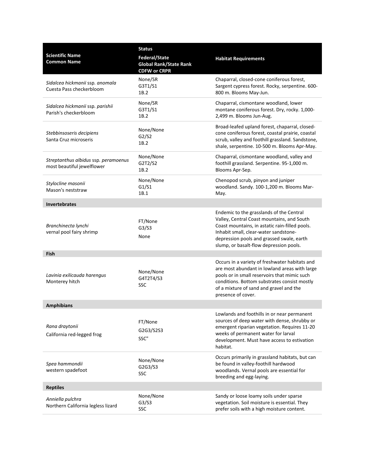| <b>Scientific Name</b><br><b>Common Name</b>                       | <b>Status</b><br><b>Federal/State</b><br><b>Global Rank/State Rank</b><br><b>CDFW or CRPR</b> | <b>Habitat Requirements</b>                                                                                                                                                                                                                                               |
|--------------------------------------------------------------------|-----------------------------------------------------------------------------------------------|---------------------------------------------------------------------------------------------------------------------------------------------------------------------------------------------------------------------------------------------------------------------------|
| Sidalcea hickmanii ssp. anomala<br>Cuesta Pass checkerbloom        | None/SR<br>G3T1/S1<br>1B.2                                                                    | Chaparral, closed-cone coniferous forest,<br>Sargent cypress forest. Rocky, serpentine. 600-<br>800 m. Blooms May-Jun.                                                                                                                                                    |
| Sidalcea hickmanii ssp. parishii<br>Parish's checkerbloom          | None/SR<br>G3T1/S1<br>1B.2                                                                    | Chaparral, cismontane woodland, lower<br>montane coniferous forest. Dry, rocky. 1,000-<br>2,499 m. Blooms Jun-Aug.                                                                                                                                                        |
| Stebbinsoseris decipiens<br>Santa Cruz microseris                  | None/None<br>G2/S2<br>1B.2                                                                    | Broad-leafed upland forest, chaparral, closed-<br>cone coniferous forest, coastal prairie, coastal<br>scrub, valley and foothill grassland. Sandstone,<br>shale, serpentine. 10-500 m. Blooms Apr-May.                                                                    |
| Streptanthus albidus ssp. peramoenus<br>most beautiful jewelflower | None/None<br>G2T2/S2<br>1B.2                                                                  | Chaparral, cismontane woodland, valley and<br>foothill grassland. Serpentine. 95-1,000 m.<br>Blooms Apr-Sep.                                                                                                                                                              |
| Stylocline masonii<br>Mason's neststraw                            | None/None<br>G1/S1<br>1B.1                                                                    | Chenopod scrub, pinyon and juniper<br>woodland. Sandy. 100-1,200 m. Blooms Mar-<br>May.                                                                                                                                                                                   |
| <b>Invertebrates</b>                                               |                                                                                               |                                                                                                                                                                                                                                                                           |
| Branchinecta lynchi<br>vernal pool fairy shrimp                    | FT/None<br>G3/S3<br>None                                                                      | Endemic to the grasslands of the Central<br>Valley, Central Coast mountains, and South<br>Coast mountains, in astatic rain-filled pools.<br>Inhabit small, clear-water sandstone-<br>depression pools and grassed swale, earth<br>slump, or basalt-flow depression pools. |
| Fish                                                               |                                                                                               |                                                                                                                                                                                                                                                                           |
| Lavinia exilicauda harengus<br>Monterey hitch                      | None/None<br>G4T2T4/S3<br>SSC                                                                 | Occurs in a variety of freshwater habitats and<br>are most abundant in lowland areas with large<br>pools or in small reservoirs that mimic such<br>conditions. Bottom substrates consist mostly<br>of a mixture of sand and gravel and the<br>presence of cover.          |
| <b>Amphibians</b>                                                  |                                                                                               |                                                                                                                                                                                                                                                                           |
| Rana draytonii<br>California red-legged frog                       | FT/None<br>G2G3/S2S3<br>SSC"                                                                  | Lowlands and foothills in or near permanent<br>sources of deep water with dense, shrubby or<br>emergent riparian vegetation. Requires 11-20<br>weeks of permanent water for larval<br>development. Must have access to estivation<br>habitat.                             |
| Spea hammondii<br>western spadefoot                                | None/None<br>G2G3/S3<br>SSC                                                                   | Occurs primarily in grassland habitats, but can<br>be found in valley-foothill hardwood<br>woodlands. Vernal pools are essential for<br>breeding and egg-laying.                                                                                                          |
| <b>Reptiles</b>                                                    |                                                                                               |                                                                                                                                                                                                                                                                           |
| Anniella pulchra<br>Northern California legless lizard             | None/None<br>G3/S3<br>SSC                                                                     | Sandy or loose loamy soils under sparse<br>vegetation. Soil moisture is essential. They<br>prefer soils with a high moisture content.                                                                                                                                     |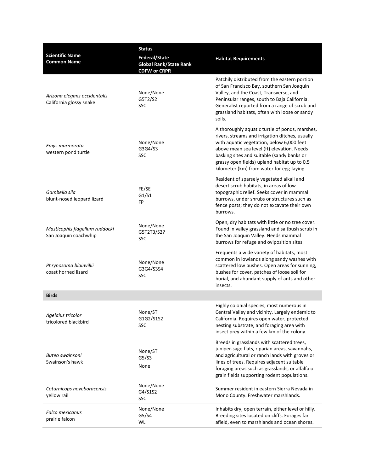| <b>Scientific Name</b><br><b>Common Name</b>            | <b>Status</b><br><b>Federal/State</b><br><b>Global Rank/State Rank</b><br><b>CDFW or CRPR</b> | <b>Habitat Requirements</b>                                                                                                                                                                                                                                                                                                             |
|---------------------------------------------------------|-----------------------------------------------------------------------------------------------|-----------------------------------------------------------------------------------------------------------------------------------------------------------------------------------------------------------------------------------------------------------------------------------------------------------------------------------------|
| Arizona elegans occidentalis<br>California glossy snake | None/None<br>G5T2/S2<br><b>SSC</b>                                                            | Patchily distributed from the eastern portion<br>of San Francisco Bay, southern San Joaquin<br>Valley, and the Coast, Transverse, and<br>Peninsular ranges, south to Baja California.<br>Generalist reported from a range of scrub and<br>grassland habitats, often with loose or sandy<br>soils.                                       |
| Emys marmorata<br>western pond turtle                   | None/None<br>G3G4/S3<br><b>SSC</b>                                                            | A thoroughly aquatic turtle of ponds, marshes,<br>rivers, streams and irrigation ditches, usually<br>with aquatic vegetation, below 6,000 feet<br>above mean sea level (ft) elevation. Needs<br>basking sites and suitable (sandy banks or<br>grassy open fields) upland habitat up to 0.5<br>kilometer (km) from water for egg-laying. |
| Gambelia sila<br>blunt-nosed leopard lizard             | FE/SE<br>G1/S1<br>FP                                                                          | Resident of sparsely vegetated alkali and<br>desert scrub habitats, in areas of low<br>topographic relief. Seeks cover in mammal<br>burrows, under shrubs or structures such as<br>fence posts; they do not excavate their own<br>burrows.                                                                                              |
| Masticophis flagellum ruddocki<br>San Joaquin coachwhip | None/None<br>G5T2T3/S2?<br><b>SSC</b>                                                         | Open, dry habitats with little or no tree cover.<br>Found in valley grassland and saltbush scrub in<br>the San Joaquin Valley. Needs mammal<br>burrows for refuge and oviposition sites.                                                                                                                                                |
| Phrynosoma blainvillii<br>coast horned lizard           | None/None<br>G3G4/S3S4<br><b>SSC</b>                                                          | Frequents a wide variety of habitats, most<br>common in lowlands along sandy washes with<br>scattered low bushes. Open areas for sunning,<br>bushes for cover, patches of loose soil for<br>burial, and abundant supply of ants and other<br>insects.                                                                                   |
| <b>Birds</b>                                            |                                                                                               |                                                                                                                                                                                                                                                                                                                                         |
| Agelaius tricolor<br>tricolored blackbird               | None/ST<br>G1G2/S1S2<br><b>SSC</b>                                                            | Highly colonial species, most numerous in<br>Central Valley and vicinity. Largely endemic to<br>California. Requires open water, protected<br>nesting substrate, and foraging area with<br>insect prey within a few km of the colony.                                                                                                   |
| Buteo swainsoni<br>Swainson's hawk                      | None/ST<br>G5/S3<br>None                                                                      | Breeds in grasslands with scattered trees,<br>juniper-sage flats, riparian areas, savannahs,<br>and agricultural or ranch lands with groves or<br>lines of trees. Requires adjacent suitable<br>foraging areas such as grasslands, or alfalfa or<br>grain fields supporting rodent populations.                                         |
| Coturnicops noveboracensis<br>yellow rail               | None/None<br>G4/S1S2<br><b>SSC</b>                                                            | Summer resident in eastern Sierra Nevada in<br>Mono County. Freshwater marshlands.                                                                                                                                                                                                                                                      |
| <b>Falco mexicanus</b><br>prairie falcon                | None/None<br>G5/S4<br>WL                                                                      | Inhabits dry, open terrain, either level or hilly.<br>Breeding sites located on cliffs. Forages far<br>afield, even to marshlands and ocean shores.                                                                                                                                                                                     |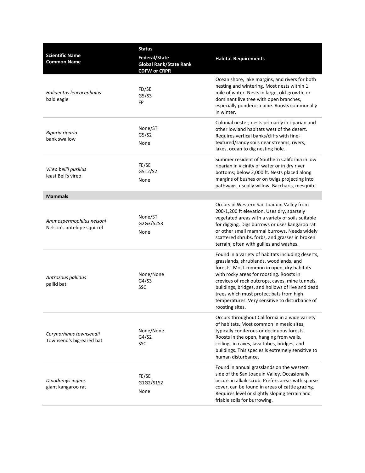| <b>Scientific Name</b><br><b>Common Name</b>           | <b>Status</b><br><b>Federal/State</b><br><b>Global Rank/State Rank</b><br><b>CDFW or CRPR</b> | <b>Habitat Requirements</b>                                                                                                                                                                                                                                                                                                                                                                                  |
|--------------------------------------------------------|-----------------------------------------------------------------------------------------------|--------------------------------------------------------------------------------------------------------------------------------------------------------------------------------------------------------------------------------------------------------------------------------------------------------------------------------------------------------------------------------------------------------------|
| Haliaeetus leucocephalus<br>bald eagle                 | FD/SE<br>G5/S3<br>FP                                                                          | Ocean shore, lake margins, and rivers for both<br>nesting and wintering. Most nests within 1<br>mile of water. Nests in large, old-growth, or<br>dominant live tree with open branches,<br>especially ponderosa pine. Roosts communally<br>in winter.                                                                                                                                                        |
| Riparia riparia<br>bank swallow                        | None/ST<br>G5/S2<br>None                                                                      | Colonial nester; nests primarily in riparian and<br>other lowland habitats west of the desert.<br>Requires vertical banks/cliffs with fine-<br>textured/sandy soils near streams, rivers,<br>lakes, ocean to dig nesting hole.                                                                                                                                                                               |
| Vireo bellii pusillus<br>least Bell's vireo            | FE/SE<br>G5T2/S2<br>None                                                                      | Summer resident of Southern California in low<br>riparian in vicinity of water or in dry river<br>bottoms; below 2,000 ft. Nests placed along<br>margins of bushes or on twigs projecting into<br>pathways, usually willow, Baccharis, mesquite.                                                                                                                                                             |
| <b>Mammals</b>                                         |                                                                                               |                                                                                                                                                                                                                                                                                                                                                                                                              |
| Ammospermophilus nelsoni<br>Nelson's antelope squirrel | None/ST<br>G2G3/S2S3<br>None                                                                  | Occurs in Western San Joaquin Valley from<br>200-1,200 ft elevation. Uses dry, sparsely<br>vegetated areas with a variety of soils suitable<br>for digging. Digs burrows or uses kangaroo rat<br>or other small mammal burrows. Needs widely<br>scattered shrubs, forbs, and grasses in broken<br>terrain, often with gullies and washes.                                                                    |
| Antrozous pallidus<br>pallid bat                       | None/None<br>G4/S3<br>SSC                                                                     | Found in a variety of habitats including deserts,<br>grasslands, shrublands, woodlands, and<br>forests. Most common in open, dry habitats<br>with rocky areas for roosting. Roosts in<br>crevices of rock outcrops, caves, mine tunnels,<br>buildings, bridges, and hollows of live and dead<br>trees which must protect bats from high<br>temperatures. Very sensitive to disturbance of<br>roosting sites. |
| Corynorhinus townsendii<br>Townsend's big-eared bat    | None/None<br>G4/S2<br><b>SSC</b>                                                              | Occurs throughout California in a wide variety<br>of habitats. Most common in mesic sites,<br>typically coniferous or deciduous forests.<br>Roosts in the open, hanging from walls,<br>ceilings in caves, lava tubes, bridges, and<br>buildings. This species is extremely sensitive to<br>human disturbance.                                                                                                |
| Dipodomys ingens<br>giant kangaroo rat                 | FE/SE<br>G1G2/S1S2<br>None                                                                    | Found in annual grasslands on the western<br>side of the San Joaquin Valley. Occasionally<br>occurs in alkali scrub. Prefers areas with sparse<br>cover, can be found in areas of cattle grazing.<br>Requires level or slightly sloping terrain and<br>friable soils for burrowing.                                                                                                                          |